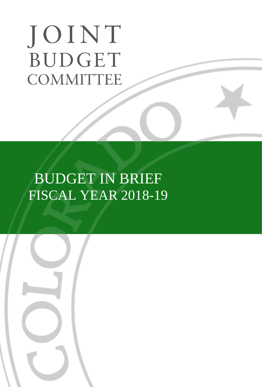# JOINT **BUDGET COMMITTEE**

# BUDGET IN BRIEF FISCAL YEAR 2018-19

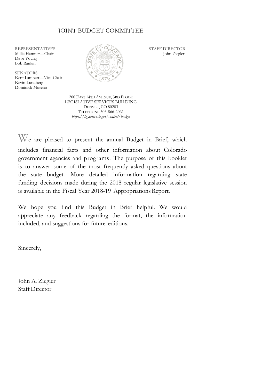#### JOINT BUDGET COMMITTEE

Dave Young Bob Rankin

**SENATORS** Kent Lambert—Vice-Chair Kevin Lundberg Dominick Moreno



200 EAST 14TH AVENUE, 3RD FLOOR LEGISLATIVE SERVICES BUILDING DENVER, CO 80203 TELEPHONE 303-866-2061 *https://leg.colorado.gov/content/budget*

W<sup>e</sup> are pleased to present the annual Budget in Brief, which includes financial facts and other information about Colorado government agencies and programs. The purpose of this booklet is to answer some of the most frequently asked questions about the state budget. More detailed information regarding state funding decisions made during the 2018 regular legislative session is available in the Fiscal Year 2018-19 Appropriations Report.

We hope you find this Budget in Brief helpful. We would appreciate any feedback regarding the format, the information included, and suggestions for future editions.

Sincerely,

John A. Ziegler Staff Director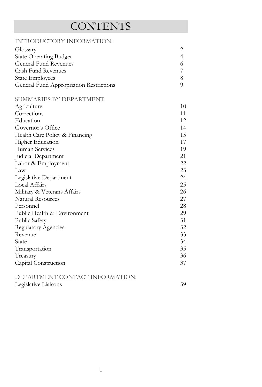# **CONTENTS**

| INTRODUCTORY INFORMATION:               |                |
|-----------------------------------------|----------------|
| Glossary                                | 2              |
| <b>State Operating Budget</b>           | $\overline{4}$ |
| <b>General Fund Revenues</b>            | 6              |
| Cash Fund Revenues                      | 7              |
| <b>State Employees</b>                  | $\,8\,$        |
| General Fund Appropriation Restrictions | 9              |
| SUMMARIES BY DEPARTMENT:                |                |
| Agriculture                             | 10             |
| Corrections                             | 11             |
| Education                               | 12             |
| Governor's Office                       | 14             |
| Health Care Policy & Financing          | 15             |
| Higher Education                        | 17             |
| Human Services                          | 19             |
| Judicial Department                     | 21             |
| Labor & Employment                      | 22             |
| Law                                     | 23             |
| Legislative Department                  | 24             |
| Local Affairs                           | 25             |
| Military & Veterans Affairs             | 26             |
| <b>Natural Resources</b>                | 27             |
| Personnel                               | 28             |
| Public Health & Environment             | 29             |
| Public Safety                           | 31             |
| <b>Regulatory Agencies</b>              | 32             |
| Revenue                                 | 33             |
| State                                   | 34             |
| Transportation                          | 35             |
| Treasury                                | 36             |
| Capital Construction                    | 37             |
| DEPARTMENT CONTACT INFORMATION:         |                |
| Legislative Liaisons                    | 39             |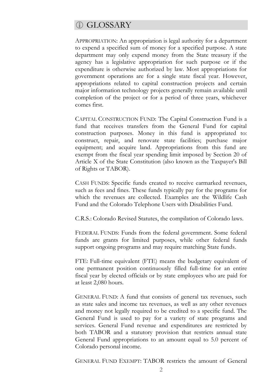#### *CD GLOSSARY*

APPROPRIATION: An appropriation is legal authority for a department to expend a specified sum of money for a specified purpose. A state department may only expend money from the State treasury if the agency has a legislative appropriation for such purpose or if the expenditure is otherwise authorized by law. Most appropriations for government operations are for a single state fiscal year. However, appropriations related to capital construction projects and certain major information technology projects generally remain available until completion of the project or for a period of three years, whichever comes first.

CAPITAL CONSTRUCTION FUND: The Capital Construction Fund is a fund that receives transfers from the General Fund for capital construction purposes. Money in this fund is appropriated to: construct, repair, and renovate state facilities; purchase major equipment; and acquire land. Appropriations from this fund are exempt from the fiscal year spending limit imposed by Section 20 of Article X of the State Constitution (also known as the Taxpayer's Bill of Rights or TABOR).

CASH FUNDS: Specific funds created to receive earmarked revenues, such as fees and fines. These funds typically pay for the programs for which the revenues are collected. Examples are the Wildlife Cash Fund and the Colorado Telephone Users with Disabilities Fund.

C.R.S.: Colorado Revised Statutes, the compilation of Colorado laws.

FEDERAL FUNDS: Funds from the federal government. Some federal funds are grants for limited purposes, while other federal funds support ongoing programs and may require matching State funds.

FTE: Full-time equivalent (FTE) means the budgetary equivalent of one permanent position continuously filled full-time for an entire fiscal year by elected officials or by state employees who are paid for at least 2,080 hours.

GENERAL FUND: A fund that consists of general tax revenues, such as state sales and income tax revenues, as well as any other revenues and money not legally required to be credited to a specific fund. The General Fund is used to pay for a variety of state programs and services. General Fund revenue and expenditures are restricted by both TABOR and a statutory provision that restricts annual state General Fund appropriations to an amount equal to 5.0 percent of Colorado personal income.

GENERAL FUND EXEMPT: TABOR restricts the amount of General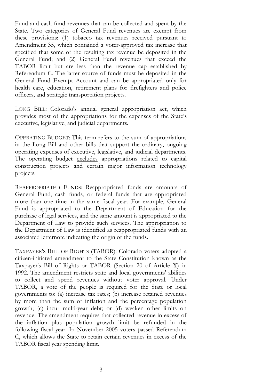Fund and cash fund revenues that can be collected and spent by the State. Two categories of General Fund revenues are exempt from these provisions: (1) tobacco tax revenues received pursuant to Amendment 35, which contained a voter-approved tax increase that specified that some of the resulting tax revenue be deposited in the General Fund; and (2) General Fund revenues that exceed the TABOR limit but are less than the revenue cap established by Referendum C. The latter source of funds must be deposited in the General Fund Exempt Account and can be appropriated only for health care, education, retirement plans for firefighters and police officers, and strategic transportation projects.

LONG BILL: Colorado's annual general appropriation act, which provides most of the appropriations for the expenses of the State's executive, legislative, and judicial departments.

OPERATING BUDGET: This term refers to the sum of appropriations in the Long Bill and other bills that support the ordinary, ongoing operating expenses of executive, legislative, and judicial departments. The operating budget excludes appropriations related to capital construction projects and certain major information technology projects.

REAPPROPRIATED FUNDS: Reappropriated funds are amounts of General Fund, cash funds, or federal funds that are appropriated more than one time in the same fiscal year. For example, General Fund is appropriated to the Department of Education for the purchase of legal services, and the same amount is appropriated to the Department of Law to provide such services. The appropriation to the Department of Law is identified as reappropriated funds with an associated letternote indicating the origin of the funds.

TAXPAYER'S BILL OF RIGHTS (TABOR): Colorado voters adopted a citizen-initiated amendment to the State Constitution known as the Taxpayer's Bill of Rights or TABOR (Section 20 of Article X) in 1992. The amendment restricts state and local governments' abilities to collect and spend revenues without voter approval. Under TABOR, a vote of the people is required for the State or local governments to: (a) increase tax rates; (b) increase retained revenues by more than the sum of inflation and the percentage population growth; (c) incur multi-year debt; or (d) weaken other limits on revenue. The amendment requires that collected revenue in excess of the inflation plus population growth limit be refunded in the following fiscal year. In November 2005 voters passed Referendum C, which allows the State to retain certain revenues in excess of the TABOR fiscal year spending limit.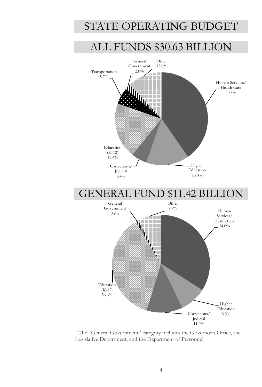# STATE OPERATING BUDGET

# ALL FUNDS \$30.63 BILLION



<sup>1</sup> The "General Government" category includes the Governor's Office, the Legislative Department, and the Department of Personnel.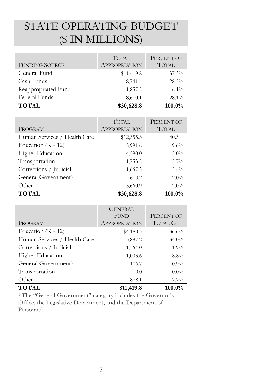# STATE OPERATING BUDGET (\$ IN MILLIONS)

| <b>FUNDING SOURCE</b> | <b>TOTAL</b><br><b>APPROPRIATION</b> | PERCENT OF<br><b>TOTAL</b> |
|-----------------------|--------------------------------------|----------------------------|
| General Fund          | \$11,419.8                           | 37.3%                      |
| Cash Funds            | 8,741.4                              | 28.5%                      |
| Reappropriated Fund   | 1,857.5                              | $6.1\%$                    |
| Federal Funds         | 8,610.1                              | 28.1%                      |
| <b>TOTAL</b>          | \$30,628.8                           | 100.0%                     |

| PROGRAM                         | <b>TOTAL</b><br><b>APPROPRIATION</b> | PERCENT OF<br><b>TOTAL</b> |
|---------------------------------|--------------------------------------|----------------------------|
| Human Services / Health Care    | \$12,355.3                           | 40.3%                      |
| Education ( $K - 12$ )          | 5,991.6                              | 19.6%                      |
| Higher Education                | 4,590.0                              | $15.0\%$                   |
| Transportation                  | 1,753.5                              | $5.7\%$                    |
| Corrections / Judicial          | 1,667.3                              | $5.4\%$                    |
| General Government <sup>1</sup> | 610.2                                | $2.0\%$                    |
| Other                           | 3,660.9                              | $12.0\%$                   |
| <b>TOTAL</b>                    | \$30,628.8                           | 100.0%                     |

|                                 | <b>GENERAL</b><br><b>FUND</b> | PERCENT OF      |
|---------------------------------|-------------------------------|-----------------|
| PROGRAM                         | <b>APPROPRIATION</b>          | <b>TOTAL GF</b> |
| Education $(K - 12)$            | \$4,180.3                     | 36.6%           |
| Human Services / Health Care    | 3,887.2                       | $34.0\%$        |
| Corrections / Judicial          | 1,364.0                       | 11.9%           |
| <b>Higher Education</b>         | 1,003.6                       | $8.8\%$         |
| General Government <sup>1</sup> | 106.7                         | $0.9\%$         |
| Transportation                  | 0.0                           | $0.0\%$         |
| Other                           | 878.1                         | $7.7\%$         |
| <b>TOTAL</b>                    | \$11,419.8                    | 100.0%          |

<sup>1</sup> The "General Government" category includes the Governor's Office, the Legislative Department, and the Department of Personnel.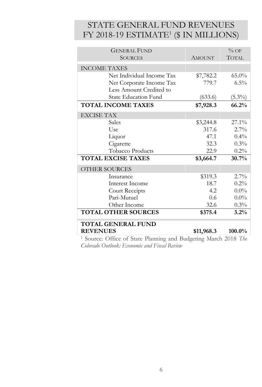### STATE GENERAL FUND REVENUES FY 2018-19 ESTIMATE<sup>1</sup> (\$ IN MILLIONS)

| <b>GENERAL FUND</b>                                                         |               | $\%$ OF      |
|-----------------------------------------------------------------------------|---------------|--------------|
| <b>SOURCES</b>                                                              | <b>AMOUNT</b> | <b>TOTAL</b> |
| <b>INCOME TAXES</b>                                                         |               |              |
| Net Individual Income Tax                                                   | \$7,782.2     | $65.0\%$     |
| Net Corporate Income Tax                                                    | 779.7         | $6.5\%$      |
| Less Amount Credited to                                                     |               |              |
| <b>State Education Fund</b>                                                 | (633.6)       | $(5.3\%)$    |
| <b>TOTAL INCOME TAXES</b>                                                   | \$7,928.3     | 66.2%        |
| <b>EXCISE TAX</b>                                                           |               |              |
| Sales                                                                       | \$3,244.8     | $27.1\%$     |
| Use                                                                         | 317.6         | $2.7\%$      |
| Liquor                                                                      | 47.1          | $0.4\%$      |
| Cigarette                                                                   | 32.3          | $0.3\%$      |
| Tobacco Products                                                            | 22.9          | $0.2\%$      |
| <b>TOTAL EXCISE TAXES</b>                                                   | \$3,664.7     | 30.7%        |
| OTHER SOURCES                                                               |               |              |
| Insurance                                                                   | \$319.3       | $2.7\%$      |
| Interest Income                                                             | 18.7          | $0.2\%$      |
| Court Receipts                                                              | 4.2           | $0.0\%$      |
| Pari-Mutuel                                                                 | 0.6           | $0.0\%$      |
| Other Income                                                                | 32.6          | $0.3\%$      |
| <b>TOTAL OTHER SOURCES</b>                                                  | \$375.4       | 3.2%         |
| <b>TOTAL GENERAL FUND</b>                                                   |               |              |
| <b>REVENUES</b>                                                             | \$11,968.3    | $100.0\%$    |
| <sup>1</sup> Source: Office of State Planning and Budgeting March 2018. The |               |              |

Source: Office of State Planning and Budgeting March <sup>2</sup> *Colorado Outlook: Economic and Fiscal Review*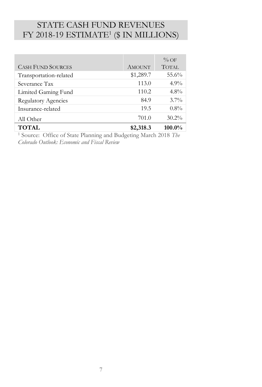### STATE CASH FUND REVENUES FY 2018-19 ESTIMATE<sup>1</sup> (\$ IN MILLIONS)

|                            |               | $\%$ OF      |
|----------------------------|---------------|--------------|
| <b>CASH FUND SOURCES</b>   | <b>AMOUNT</b> | <b>TOTAL</b> |
| Transportation-related     | \$1,289.7     | 55.6%        |
| Severance Tax              | 113.0         | $4.9\%$      |
| Limited Gaming Fund        | 110.2         | $4.8\%$      |
| <b>Regulatory Agencies</b> | 84.9          | $3.7\%$      |
| Insurance-related          | 19.5          | $0.8\%$      |
| All Other                  | 701.0         | $30.2\%$     |
| <b>TOTAL</b>               | \$2,318.3     | 100.0%       |

<sup>1</sup> Source: Office of State Planning and Budgeting March 2018 *The Colorado Outlook: Economic and Fiscal Review*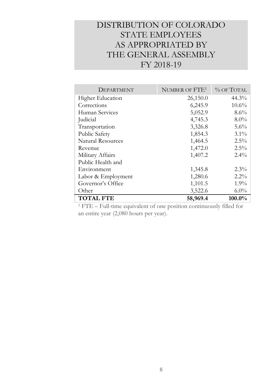### DISTRIBUTION OF COLORADO STATE EMPLOYEES AS APPROPRIATED BY THE GENERAL ASSEMBLY FY 2018-19

| DEPARTMENT               | NUMBER OF FTE <sup>1</sup> | $%$ OF TOTAL |
|--------------------------|----------------------------|--------------|
| <b>Higher Education</b>  | 26,150.0                   | 44.3%        |
| Corrections              | 6,245.9                    | 10.6%        |
| Human Services           | 5,052.9                    | 8.6%         |
| Judicial                 | 4,745.3                    | $8.0\%$      |
| Transportation           | 3,326.8                    | $5.6\%$      |
| Public Safety            | 1,854.3                    | $3.1\%$      |
| <b>Natural Resources</b> | 1,464.5                    | $2.5\%$      |
| Revenue                  | 1,472.0                    | $2.5\%$      |
| Military Affairs         | 1,407.2                    | $2.4\%$      |
| Public Health and        |                            |              |
| Environment              | 1,345.8                    | $2.3\%$      |
| Labor & Employment       | 1,280.6                    | $2.2\%$      |
| Governor's Office        | 1,101.5                    | $1.9\%$      |
| Other                    | 3,522.6                    | $6.0\%$      |
| <b>TOTAL FTE</b>         | 58,969.4                   | $100.0\%$    |

<sup>1</sup> FTE – Full-time equivalent of one position continuously filled for an entire year (2,080 hours per year).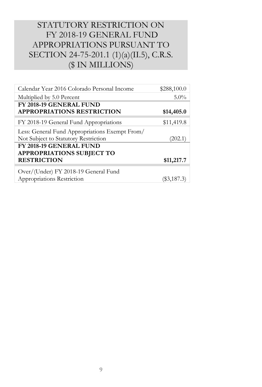### STATUTORY RESTRICTION ON FY 2018-19 GENERAL FUND APPROPRIATIONS PURSUANT TO SECTION 24-75-201.1 (1)(a)(II.5), C.R.S. (\$ IN MILLIONS)

| Calendar Year 2016 Colorado Personal Income                                            | \$288,100.0 |
|----------------------------------------------------------------------------------------|-------------|
| Multiplied by 5.0 Percent                                                              | $5.0\%$     |
| FY 2018-19 GENERAL FUND<br><b>APPROPRIATIONS RESTRICTION</b>                           | \$14,405.0  |
| FY 2018-19 General Fund Appropriations                                                 | \$11,419.8  |
| Less: General Fund Appropriations Exempt From/<br>Not Subject to Statutory Restriction | (202.1)     |
| FY 2018-19 GENERAL FUND<br><b>APPROPRIATIONS SUBJECT TO</b><br><b>RESTRICTION</b>      | \$11,217.7  |
| Over/(Under) FY 2018-19 General Fund<br>Appropriations Restriction                     | (\$3,187.3) |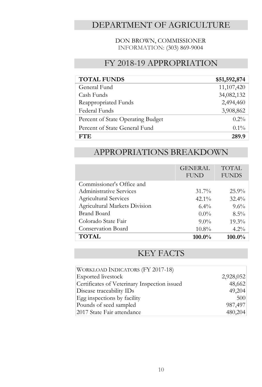#### DEPARTMENT OF AGRICULTURE

#### DON BROWN, COMMISSIONER INFORMATION: (303) 869-9004

#### FY 2018-19 APPROPRIATION

| <b>TOTAL FUNDS</b>                | \$51,592,874 |
|-----------------------------------|--------------|
| General Fund                      | 11,107,420   |
| Cash Funds                        | 34,082,132   |
| Reappropriated Funds              | 2,494,460    |
| Federal Funds                     | 3,908,862    |
| Percent of State Operating Budget | $0.2\%$      |
| Percent of State General Fund     | $0.1\%$      |
| FTE.                              | 289.9        |

#### APPROPRIATIONS BREAKDOWN

|                               | <b>GENERAL</b><br><b>FUND</b> | <b>TOTAL</b><br><b>FUNDS</b> |
|-------------------------------|-------------------------------|------------------------------|
| Commissioner's Office and     |                               |                              |
| Administrative Services       | $31.7\%$                      | $25.9\%$                     |
| Agricultural Services         | $42.1\%$                      | $32.4\%$                     |
| Agricultural Markets Division | $6.4\%$                       | $9.6\%$                      |
| Brand Board                   | $0.0\%$                       | $8.5\%$                      |
| Colorado State Fair           | $9.0\%$                       | $19.3\%$                     |
| Conservation Board            | $10.8\%$                      | $4.2\%$                      |
| <b>TOTAL</b>                  | $100.0\%$                     | 100.0%                       |

| WORKLOAD INDICATORS (FY 2017-18)             |           |
|----------------------------------------------|-----------|
| Exported livestock                           | 2,928,052 |
| Certificates of Veterinary Inspection issued | 48,662    |
| Disease traceability IDs                     | 49,204    |
| Egg inspections by facility                  | 500       |
| Pounds of seed sampled                       | 987,497   |
| 2017 State Fair attendance                   | 480,204   |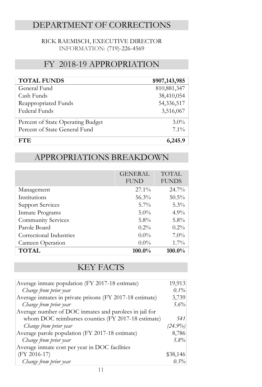### DEPARTMENT OF CORRECTIONS

#### RICK RAEMISCH, EXECUTIVE DIRECTOR INFORMATION: (719)-226-4569

#### FY 2018-19 APPROPRIATION

| <b>TOTAL FUNDS</b>                | \$907,143,985 |
|-----------------------------------|---------------|
| General Fund                      | 810, 881, 347 |
| Cash Funds                        | 38,410,054    |
| Reappropriated Funds              | 54,336,517    |
| Federal Funds                     | 3,516,067     |
| Percent of State Operating Budget | $3.0\%$       |
| Percent of State General Fund     | $7.1\%$       |
| FTE.                              | 6,245.9       |

#### APPROPRIATIONS BREAKDOWN

|                         | <b>GENERAL</b><br><b>FUND</b> | <b>TOTAL</b><br><b>FUNDS</b> |
|-------------------------|-------------------------------|------------------------------|
| Management              | $27.1\%$                      | $24.7\%$                     |
| Institutions            | 56.3%                         | $50.5\%$                     |
| <b>Support Services</b> | $5.7\%$                       | $5.3\%$                      |
| Inmate Programs         | $5.0\%$                       | $4.9\%$                      |
| Community Services      | $5.8\%$                       | $5.8\%$                      |
| Parole Board            | $0.2\%$                       | $0.2\%$                      |
| Correctional Industries | $0.0\%$                       | $7.0\%$                      |
| Canteen Operation       | $0.0\%$                       | $1.7\%$                      |
| <b>TOTAL</b>            | $100.0\%$                     | 100.0%                       |

| Average inmate population (FY 2017-18 estimate)          | 19,913     |
|----------------------------------------------------------|------------|
| Change from prior year                                   | 0.1%       |
| Average inmates in private prisons (FY 2017-18 estimate) | 3,739      |
| Change from prior year                                   | 5.6%       |
| Average number of DOC inmates and parolees in jail for   |            |
| whom DOC reimburses counties (FY 2017-18 estimate)       | 541        |
| Change from prior year                                   | $(24.9\%)$ |
| Average parole population (FY 2017-18 estimate)          | 8,786      |
| Change from prior year                                   | $5.8\%$    |
| Average inmate cost per year in DOC facilities           |            |
| (FY 2016-17)                                             | \$38,146   |
| Change from prior year                                   | $0.5\%$    |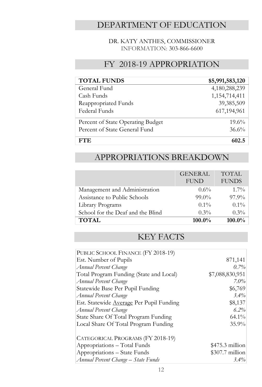#### DEPARTMENT OF EDUCATION

#### DR. KATY ANTHES, COMMISSIONER INFORMATION: 303-866-6600

#### FY 2018-19 APPROPRIATION

| <b>TOTAL FUNDS</b>                | \$5,991,583,120  |
|-----------------------------------|------------------|
| General Fund                      | 4,180,288,239    |
| Cash Funds                        | 1, 154, 714, 411 |
| Reappropriated Funds              | 39,385,509       |
| Federal Funds                     | 617,194,961      |
| Percent of State Operating Budget | $19.6\%$         |
| Percent of State General Fund     | 36.6%            |
| FTE.                              | 602.5            |

#### APPROPRIATIONS BREAKDOWN

|                                   | <b>GENERAL</b> | <b>TOTAL</b> |
|-----------------------------------|----------------|--------------|
|                                   | <b>FUND</b>    | <b>FUNDS</b> |
| Management and Administration     | $0.6\%$        | $1.7\%$      |
| Assistance to Public Schools      | $99.0\%$       | $97.9\%$     |
| Library Programs                  | $0.1\%$        | $0.1\%$      |
| School for the Deaf and the Blind | $0.3\%$        | $0.3\%$      |
| <b>TOTAL</b>                      | $100.0\%$      | 100.0%       |

| PUBLIC SCHOOL FINANCE (FY 2018-19)       |                  |
|------------------------------------------|------------------|
| Est. Number of Pupils                    | 871,141          |
| Annual Percent Change                    | $0.7\%$          |
| Total Program Funding (State and Local)  | \$7,088,830,951  |
| Annual Percent Change                    | $7.0\%$          |
| Statewide Base Per Pupil Funding         | \$6,769          |
| Annual Percent Change                    | 3.4%             |
| Est. Statewide Average Per Pupil Funding | \$8,137          |
| Annual Percent Change                    | 6.2%             |
| State Share Of Total Program Funding     | 64.1%            |
| Local Share Of Total Program Funding     | 35.9%            |
| CATEGORICAL PROGRAMS (FY 2018-19)        |                  |
| Appropriations - Total Funds             | $$475.3$ million |
| Appropriations - State Funds             | $$307.7$ million |
| Annual Percent Change – State Funds      | $3.4\%$          |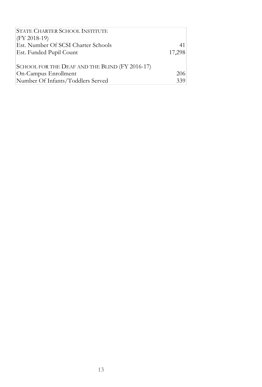| <b>STATE CHARTER SCHOOL INSTITUTE</b>          |        |
|------------------------------------------------|--------|
| $(FY 2018-19)$                                 |        |
| Est. Number Of SCSI Charter Schools            | 41     |
| Est. Funded Pupil Count                        | 17,298 |
|                                                |        |
| SCHOOL FOR THE DEAF AND THE BLIND (FY 2016-17) |        |
| On-Campus Enrollment                           | 206    |
| Number Of Infants/Toddlers Served              | 339    |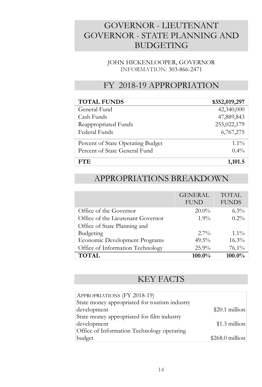### GOVERNOR - LIEUTENANT GOVERNOR - STATE PLANNING AND BUDGETING

#### JOHN HICKENLOOPER, GOVERNOR INFORMATION: 303-866-2471

#### FY 2018-19 APPROPRIATION

| <b>TOTAL FUNDS</b>                | \$352,019,297 |
|-----------------------------------|---------------|
| General Fund                      | 42,340,000    |
| Cash Funds                        | 47,889,843    |
| Reappropriated Funds              | 255,022,179   |
| Federal Funds                     | 6,767,275     |
| Percent of State Operating Budget | $1.1\%$       |
| Percent of State General Fund     | $0.4\%$       |
| FTE.                              | 1,101.5       |

#### APPROPRIATIONS BREAKDOWN

|                                   | <b>GENERAL</b><br><b>FUND</b> | <b>TOTAL</b><br><b>FUNDS</b> |
|-----------------------------------|-------------------------------|------------------------------|
| Office of the Governor            | $20.0\%$                      | $6.3\%$                      |
| Office of the Lieutenant Governor | $1.9\%$                       | $0.2\%$                      |
| Office of State Planning and      |                               |                              |
| Budgeting                         | $2.7\%$                       | $1.1\%$                      |
| Economic Development Programs     | $49.5\%$                      | $16.3\%$                     |
| Office of Information Technology  | $25.9\%$                      | $76.1\%$                     |
| <b>TOTAL</b>                      | $100.0\%$                     | 100.0%                       |

| APPROPRIATIONS (FY 2018-19)                   |                  |
|-----------------------------------------------|------------------|
| State money appropriated for tourism industry |                  |
| development                                   | \$20.1 million   |
| State money appropriated for film industry    |                  |
| development                                   | \$1.3 million    |
| Office of Information Technology operating    |                  |
| budget                                        | $$268.0$ million |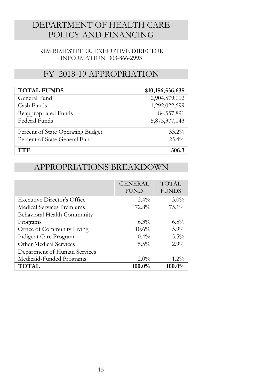### DEPARTMENT OF HEALTH CARE POLICY AND FINANCING

#### KIM BIMESTEFER, EXECUTIVE DIRECTOR INFORMATION: 303-866-2993

#### FY 2018-19 APPROPRIATION

| <b>TOTAL FUNDS</b>                | \$10,156,536,635 |
|-----------------------------------|------------------|
| General Fund                      | 2,904,579,002    |
| Cash Funds                        | 1,292,022,699    |
| Reappropriated Funds              | 84,557,891       |
| Federal Funds                     | 5,875,377,043    |
| Percent of State Operating Budget | $33.2\%$         |
| Percent of State General Fund     | $25.4\%$         |
| FT F.                             | 506.3            |

#### APPROPRIATIONS BREAKDOWN

|                                    | <b>GENERAL</b><br><b>FUND</b> | TOTAL<br><b>FUNDS</b> |
|------------------------------------|-------------------------------|-----------------------|
| <b>Executive Director's Office</b> | $2.4\%$                       | $3.0\%$               |
| Medical Services Premiums          | 72.8%                         | $75.1\%$              |
| Behavioral Health Community        |                               |                       |
| Programs                           | $6.3\%$                       | $6.5\%$               |
| Office of Community Living         | $10.6\%$                      | $5.9\%$               |
| Indigent Care Program              | $0.4\%$                       | $5.5\%$               |
| Other Medical Services             | $5.5\%$                       | $2.9\%$               |
| Department of Human Services       |                               |                       |
| Medicaid-Funded Programs           | $2.0\%$                       | $1.2\%$               |
| <b>TOTAL</b>                       | $100.0\%$                     | $100.0\%$             |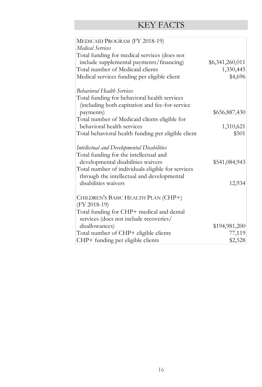| MEDICAID PROGRAM (FY 2018-19)                       |                 |
|-----------------------------------------------------|-----------------|
| Medical Services                                    |                 |
| Total funding for medical services (does not        |                 |
| include supplemental payments/financing)            | \$6,341,260,011 |
| Total number of Medicaid clients                    | 1,350,445       |
| Medical services funding per eligible client        | \$4,696         |
|                                                     |                 |
| <b>Behavioral Health Services</b>                   |                 |
| Total funding for behavioral health services        |                 |
| (including both capitation and fee-for-service      |                 |
| payments)                                           | \$656,887,430   |
| Total number of Medicaid clients eligible for       |                 |
| behavioral health services                          | 1,310,621       |
| Total behavioral health funding per eligible client | \$501           |
|                                                     |                 |
| <b>Intellectual and Developmental Disabilities</b>  |                 |
| Total funding for the intellectual and              |                 |
| developmental disabilities waivers                  | \$541,084,943   |
| Total number of individuals eligible for services   |                 |
| through the intellectual and developmental          |                 |
| disabilities waivers                                | 12,934          |
|                                                     |                 |
| CHILDREN'S BASIC HEALTH PLAN (CHP+)                 |                 |
| $(FY 2018-19)$                                      |                 |
| Total funding for CHP+ medical and dental           |                 |
| services (does not include recoveries/              |                 |
| disallowances)                                      | \$194,981,200   |
| Total number of CHP+ eligible clients               | 77,119          |
| CHP+ funding per eligible clients                   | \$2,528         |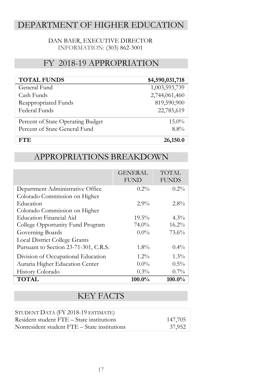### DEPARTMENT OF HIGHER EDUCATION

#### DAN BAER, EXECUTIVE DIRECTOR INFORMATION: (303) 862-3001

#### FY 2018-19 APPROPRIATION

| <b>TOTAL FUNDS</b>                | \$4,590,031,718 |
|-----------------------------------|-----------------|
| General Fund                      | 1,003,593,739   |
| Cash Funds                        | 2,744,061,460   |
| Reappropriated Funds              | 819,590,900     |
| Federal Funds                     | 22,785,619      |
| Percent of State Operating Budget | $15.0\%$        |
| Percent of State General Fund     | $8.8\%$         |
| FTE.                              | 26,150.0        |

#### APPROPRIATIONS BREAKDOWN

|                                       | <b>GENERAL</b><br><b>FUND</b> | <b>TOTAL</b><br><b>FUNDS</b> |
|---------------------------------------|-------------------------------|------------------------------|
| Department Administrative Office      | $0.2\%$                       | $0.2\%$                      |
| Colorado Commission on Higher         |                               |                              |
| Education                             | $2.9\%$                       | $2.8\%$                      |
| Colorado Commission on Higher         |                               |                              |
| Education Financial Aid               | $19.5\%$                      | $4.3\%$                      |
| College Opportunity Fund Program      | 74.0%                         | 16.2%                        |
| Governing Boards                      | $0.0\%$                       | 73.6%                        |
| <b>Local District College Grants</b>  |                               |                              |
| Pursuant to Section 23-71-301, C.R.S. | $1.8\%$                       | $0.4\%$                      |
| Division of Occupational Education    | $1.2\%$                       | $1.3\%$                      |
| Auraria Higher Education Center       | $0.0\%$                       | $0.5\%$                      |
| History Colorado                      | $0.3\%$                       | $0.7\%$                      |
| <b>TOTAL</b>                          | $100.0\%$                     | $100.0\%$                    |

| STUDENT DATA (FY 2018-19 ESTIMATE)           |         |
|----------------------------------------------|---------|
| Resident student FTE – State institutions    | 147,705 |
| Nonresident student FTE – State institutions | 37.952  |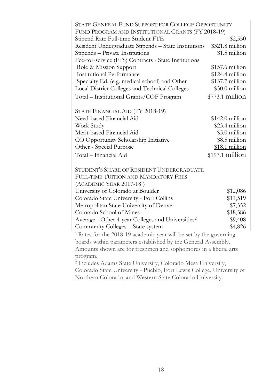| STATE GENERAL FUND SUPPORT FOR COLLEGE OPPORTUNITY                            |                  |  |
|-------------------------------------------------------------------------------|------------------|--|
| FUND PROGRAM AND INSTITUTIONAL GRANTS (FY 2018-19)                            |                  |  |
| Stipend Rate Full-time Student FTE                                            | \$2,550          |  |
| Resident Undergraduate Stipends - State Institutions                          | \$321.8 million  |  |
| Stipends - Private Institutions                                               | \$1.5 million    |  |
| Fee-for-service (FFS) Contracts - State Institutions                          |                  |  |
| Role & Mission Support                                                        | $$157.6$ million |  |
| <b>Institutional Performance</b>                                              | \$124.4 million  |  |
| Specialty Ed. (e.g. medical school) and Other                                 | $$137.7$ million |  |
| Local District Colleges and Technical Colleges                                | $$30.0$ million  |  |
| Total - Institutional Grants/COF Program                                      | \$773.1 million  |  |
|                                                                               |                  |  |
| STATE FINANCIAL AID (FY 2018-19)                                              |                  |  |
| Need-based Financial Aid                                                      | $$142.0$ million |  |
| Work Study                                                                    | \$23.4 million   |  |
| Merit-based Financial Aid                                                     | \$5.0 million    |  |
| CO Opportunity Scholarship Initiative                                         | \$8.5 million    |  |
| Other - Special Purpose                                                       | $$18.1$ million  |  |
| Total – Financial Aid                                                         | \$197.1 million  |  |
| STUDENT'S SHARE OF RESIDENT UNDERGRADUATE                                     |                  |  |
| <b>FULL-TIME TUITION AND MANDATORY FEES</b>                                   |                  |  |
| (ACADEMIC YEAR 2017-181)                                                      |                  |  |
| University of Colorado at Boulder                                             | \$12,086         |  |
| Colorado State University - Fort Collins                                      | \$11,519         |  |
| Metropolitan State University of Denver                                       | \$7,352          |  |
| Colorado School of Mines                                                      | \$18,386         |  |
| Average - Other 4-year Colleges and Universities <sup>2</sup>                 | \$9,408          |  |
| Community Colleges - State system                                             | \$4,826          |  |
| <sup>1</sup> Rates for the 2018-19 academic year will be set by the governing |                  |  |
| boards within parameters established by the General Assembly.                 |                  |  |
| Amounts shown are for freshmen and sophomores in a liberal arts               |                  |  |
| program.                                                                      |                  |  |

<sup>2</sup> Includes Adams State University, Colorado Mesa University, Colorado State University - Pueblo, Fort Lewis College, University of Northern Colorado, and Western State Colorado University.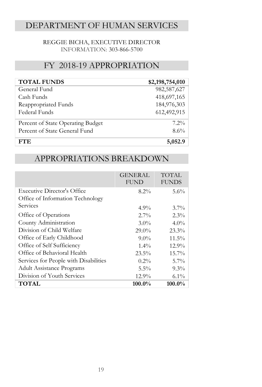### DEPARTMENT OF HUMAN SERVICES

#### REGGIE BICHA, EXECUTIVE DIRECTOR INFORMATION: 303-866-5700

#### FY 2018-19 APPROPRIATION

| <b>TOTAL FUNDS</b>                | \$2,198,754,010 |
|-----------------------------------|-----------------|
| General Fund                      | 982,587,627     |
| Cash Funds                        | 418,697,165     |
| Reappropriated Funds              | 184,976,303     |
| Federal Funds                     | 612,492,915     |
| Percent of State Operating Budget | $7.2\%$         |
| Percent of State General Fund     | 8.6%            |
| FTE.                              | 5,052.9         |

#### APPROPRIATIONS BREAKDOWN

|                                       | <b>GENERAL</b><br><b>FUND</b> | <b>TOTAL</b><br><b>FUNDS</b> |
|---------------------------------------|-------------------------------|------------------------------|
| <b>Executive Director's Office</b>    | $8.2\%$                       | 5.6%                         |
| Office of Information Technology      |                               |                              |
| Services                              | $4.9\%$                       | $3.7\%$                      |
| Office of Operations                  | $2.7\%$                       | 2.3%                         |
| County Administration                 | $3.0\%$                       | $4.0\%$                      |
| Division of Child Welfare             | $29.0\%$                      | 23.3%                        |
| Office of Early Childhood             | $9.0\%$                       | $11.5\%$                     |
| Office of Self Sufficiency            | $1.4\%$                       | 12.9%                        |
| Office of Behavioral Health           | $23.5\%$                      | $15.7\%$                     |
| Services for People with Disabilities | $0.2\%$                       | $5.7\%$                      |
| <b>Adult Assistance Programs</b>      | $5.5\%$                       | $9.3\%$                      |
| Division of Youth Services            | 12.9%                         | $6.1\%$                      |
| <b>TOTAL</b>                          | $100.0\%$                     | $100.0\%$                    |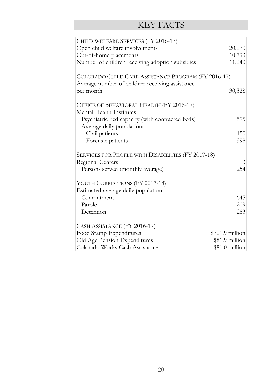| CHILD WELFARE SERVICES (FY 2016-17)                                                                                                                                                                                                                                                                                |                             |
|--------------------------------------------------------------------------------------------------------------------------------------------------------------------------------------------------------------------------------------------------------------------------------------------------------------------|-----------------------------|
| Open child welfare involvements                                                                                                                                                                                                                                                                                    | 20.970                      |
| Out-of-home placements                                                                                                                                                                                                                                                                                             | 10,793                      |
| Number of children receiving adoption subsidies                                                                                                                                                                                                                                                                    | 11,940                      |
| COLORADO CHILD CARE ASSISTANCE PROGRAM (FY 2016-17)<br>Average number of children receiving assistance<br>per month<br>OFFICE OF BEHAVIORAL HEALTH (FY 2016-17)<br>Mental Health Institutes<br>Psychiatric bed capacity (with contracted beds)<br>Average daily population:<br>Civil patients<br>Forensic patients | 30,328<br>595<br>150<br>398 |
| SERVICES FOR PEOPLE WITH DISABILITIES (FY 2017-18)                                                                                                                                                                                                                                                                 |                             |
| Regional Centers                                                                                                                                                                                                                                                                                                   | 3                           |
| Persons served (monthly average)                                                                                                                                                                                                                                                                                   | 254                         |
|                                                                                                                                                                                                                                                                                                                    |                             |
| YOUTH CORRECTIONS (FY 2017-18)                                                                                                                                                                                                                                                                                     |                             |
| Estimated average daily population:                                                                                                                                                                                                                                                                                |                             |
| Commitment                                                                                                                                                                                                                                                                                                         | 645                         |
| Parole                                                                                                                                                                                                                                                                                                             | 209                         |
| Detention                                                                                                                                                                                                                                                                                                          | 263                         |
| CASH ASSISTANCE (FY 2016-17)                                                                                                                                                                                                                                                                                       |                             |
| Food Stamp Expenditures                                                                                                                                                                                                                                                                                            | \$701.9 million             |
| Old Age Pension Expenditures                                                                                                                                                                                                                                                                                       | \$81.9 million              |
| Colorado Works Cash Assistance                                                                                                                                                                                                                                                                                     | $$81.0$ million             |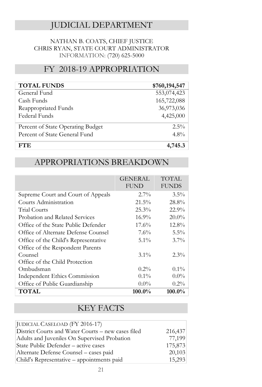#### JUDICIAL DEPARTMENT

#### NATHAN B. COATS, CHIEF JUSTICE CHRIS RYAN, STATE COURT ADMINISTRATOR INFORMATION: (720) 625-5000

#### FY 2018-19 APPROPRIATION

| <b>TOTAL FUNDS</b>                | \$760,194,547 |
|-----------------------------------|---------------|
| General Fund                      | 553,074,423   |
| Cash Funds                        | 165,722,088   |
| Reappropriated Funds              | 36,973,036    |
| Federal Funds                     | 4,425,000     |
| Percent of State Operating Budget | $2.5\%$       |
| Percent of State General Fund     | $4.8\%$       |
| FT F.                             | 4,745.3       |

#### APPROPRIATIONS BREAKDOWN

|                                      | <b>GENERAL</b><br><b>FUND</b> | <b>TOTAL</b><br><b>FUNDS</b> |
|--------------------------------------|-------------------------------|------------------------------|
| Supreme Court and Court of Appeals   | $2.7\%$                       | $3.5\%$                      |
| Courts Administration                | $21.5\%$                      | 28.8%                        |
| Trial Courts                         | 25.3%                         | 22.9%                        |
| Probation and Related Services       | $16.9\%$                      | $20.0\%$                     |
| Office of the State Public Defender  | $17.6\%$                      | 12.8%                        |
| Office of Alternate Defense Counsel  | 7.6%                          | $5.5\%$                      |
| Office of the Child's Representative | $5.1\%$                       | $3.7\%$                      |
| Office of the Respondent Parents     |                               |                              |
| Counsel                              | $3.1\%$                       | $2.3\%$                      |
| Office of the Child Protection       |                               |                              |
| Ombudsman                            | $0.2\%$                       | $0.1\%$                      |
| Independent Ethics Commission        | $0.1\%$                       | $0.0\%$                      |
| Office of Public Guardianship        | $0.0\%$                       | $0.2\%$                      |
| <b>TOTAL</b>                         | $100.0\%$                     | 100.0%                       |

| JUDICIAL CASELOAD (FY 2016-17)                     |         |
|----------------------------------------------------|---------|
| District Courts and Water Courts – new cases filed | 216,437 |
| Adults and Juveniles On Supervised Probation       | 77,199  |
| State Public Defender – active cases               | 175,873 |
| Alternate Defense Counsel - cases paid             | 20,103  |
| Child's Representative - appointments paid         | 15,293  |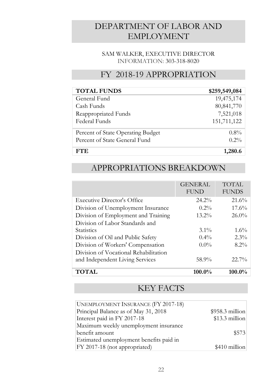#### DEPARTMENT OF LABOR AND EMPLOYMENT

#### SAM WALKER, EXECUTIVE DIRECTOR INFORMATION: 303-318-8020

#### FY 2018-19 APPROPRIATION

| <b>TOTAL FUNDS</b>                | \$259,549,084 |
|-----------------------------------|---------------|
| General Fund                      | 19,475,174    |
| Cash Funds                        | 80,841,770    |
| Reappropriated Funds              | 7,521,018     |
| Federal Funds                     | 151,711,122   |
| Percent of State Operating Budget | $0.8\%$       |
| Percent of State General Fund     | $0.2\%$       |
| FTE.                              | 1,280.6       |

#### APPROPRIATIONS BREAKDOWN

|                                       | <b>GENERAL</b><br><b>FUND</b> | <b>TOTAL</b><br><b>FUNDS</b> |
|---------------------------------------|-------------------------------|------------------------------|
| Executive Director's Office           | $24.2\%$                      | 21.6%                        |
| Division of Unemployment Insurance    | $0.2\%$                       | 17.6%                        |
| Division of Employment and Training   | $13.2\%$                      | $26.0\%$                     |
| Division of Labor Standards and       |                               |                              |
| <b>Statistics</b>                     | $3.1\%$                       | $1.6\%$                      |
| Division of Oil and Public Safety     | $0.4\%$                       | $2.3\%$                      |
| Division of Workers' Compensation     | $0.0\%$                       | $8.2\%$                      |
| Division of Vocational Rehabilitation |                               |                              |
| and Independent Living Services       | 58.9%                         | $22.7\%$                     |
| <b>TOTAL</b>                          | $100.0\%$                     | $100.0\%$                    |

| <b>UNEMPLOYMENT INSURANCE (FY 2017-18)</b> |                  |
|--------------------------------------------|------------------|
| Principal Balance as of May 31, 2018       | $$958.3$ million |
| Interest paid in FY 2017-18                | \$13.3 million   |
| Maximum weekly unemployment insurance      |                  |
| benefit amount                             | \$573            |
| Estimated unemployment benefits paid in    |                  |
| FY 2017-18 (not appropriated)              | $$410$ million   |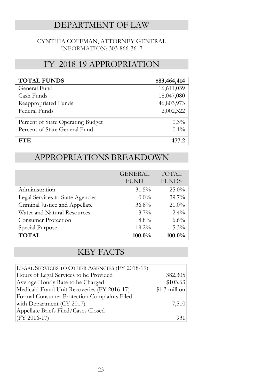### DEPARTMENT OF LAW

#### CYNTHIA COFFMAN, ATTORNEY GENERAL INFORMATION: 303-866-3617

#### FY 2018-19 APPROPRIATION

| <b>TOTAL FUNDS</b>                | \$83,464,414 |
|-----------------------------------|--------------|
| General Fund                      | 16,611,039   |
| Cash Funds                        | 18,047,080   |
| Reappropriated Funds              | 46,803,973   |
| Federal Funds                     | 2,002,322    |
| Percent of State Operating Budget | $0.3\%$      |
| Percent of State General Fund     | $0.1\%$      |
| FTE.                              |              |

#### APPROPRIATIONS BREAKDOWN

|                                  | <b>GENERAL</b><br><b>FUND</b> | <b>TOTAL</b><br><b>FUNDS</b> |
|----------------------------------|-------------------------------|------------------------------|
| Administration                   | $31.5\%$                      | $25.0\%$                     |
| Legal Services to State Agencies | $0.0\%$                       | $39.7\%$                     |
| Criminal Justice and Appellate   | 36.8%                         | $21.0\%$                     |
| Water and Natural Resources      | $3.7\%$                       | $2.4\%$                      |
| <b>Consumer Protection</b>       | $8.8\%$                       | $6.6\%$                      |
| Special Purpose                  | 19.2%                         | $5.3\%$                      |
| <b>TOTAL</b>                     | $100.0\%$                     | 100.0%                       |

| LEGAL SERVICES TO OTHER AGENCIES (FY 2018-19) |                |
|-----------------------------------------------|----------------|
| Hours of Legal Services to be Provided        | 382,305        |
| Average Hourly Rate to be Charged             | \$103.63       |
| Medicaid Fraud Unit Recoveries (FY 2016-17)   | $$1.3$ million |
| Formal Consumer Protection Complaints Filed   |                |
| with Department (CY 2017)                     | 7,510          |
| Appellate Briefs Filed/Cases Closed           |                |
| $(FY 2016-17)$                                | 931            |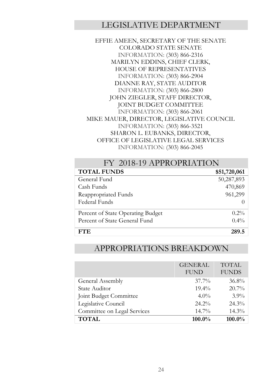#### LEGISLATIVE DEPARTMENT

EFFIE AMEEN, SECRETARY OF THE SENATE COLORADO STATE SENATE INFORMATION: (303) 866-2316 MARILYN EDDINS, CHIEF CLERK, HOUSE OF REPRESENTATIVES INFORMATION: (303) 866-2904 DIANNE RAY, STATE AUDITOR INFORMATION: (303) 866-2800 JOHN ZIEGLER, STAFF DIRECTOR, JOINT BUDGET COMMITTEE INFORMATION: (303) 866-2061 MIKE MAUER, DIRECTOR, LEGISLATIVE COUNCIL INFORMATION: (303) 866-3521 SHARON L. EUBANKS, DIRECTOR, OFFICE OF LEGISLATIVE LEGAL SERVICES INFORMATION: (303) 866-2045

| FY 2018-19 APPROPRIATION          |                  |  |
|-----------------------------------|------------------|--|
| <b>TOTAL FUNDS</b>                | \$51,720,061     |  |
| General Fund                      | 50,287,893       |  |
| Cash Funds                        | 470,869          |  |
| Reappropriated Funds              | 961,299          |  |
| Federal Funds                     | $\left( \right)$ |  |
| Percent of State Operating Budget | $0.2\%$          |  |
| Percent of State General Fund     | $0.4\%$          |  |
| FTF.                              | 289.5            |  |

#### APPROPRIATIONS BREAKDOWN

|                             | <b>GENERAL</b><br><b>FUND</b> | <b>TOTAL</b><br><b>FUNDS</b> |
|-----------------------------|-------------------------------|------------------------------|
| General Assembly            | $37.7\%$                      | $36.8\%$                     |
| State Auditor               | $19.4\%$                      | 20.7%                        |
| Joint Budget Committee      | $4.0\%$                       | $3.9\%$                      |
| Legislative Council         | $24.2\%$                      | 24.3%                        |
| Committee on Legal Services | $14.7\%$                      | 14.3%                        |
| <b>TOTAL</b>                | 100.0%                        | 100.0%                       |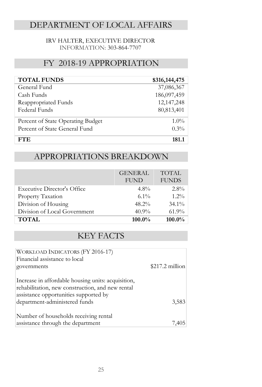### DEPARTMENT OF LOCAL AFFAIRS

#### IRV HALTER, EXECUTIVE DIRECTOR INFORMATION: 303-864-7707

#### FY 2018-19 APPROPRIATION

| <b>TOTAL FUNDS</b>                | \$316,144,475 |
|-----------------------------------|---------------|
| General Fund                      | 37,086,367    |
| Cash Funds                        | 186,097,459   |
| Reappropriated Funds              | 12,147,248    |
| Federal Funds                     | 80,813,401    |
| Percent of State Operating Budget | $1.0\%$       |
| Percent of State General Fund     | $0.3\%$       |
| FTE.                              | 181.1         |

### APPROPRIATIONS BREAKDOWN

|                                    | <b>GENERAL</b><br><b>FUND</b> | <b>TOTAL</b><br><b>FUNDS</b> |
|------------------------------------|-------------------------------|------------------------------|
| <b>Executive Director's Office</b> | $4.8\%$                       | $2.8\%$                      |
| Property Taxation                  | $6.1\%$                       | $1.2\%$                      |
| Division of Housing                | $48.2\%$                      | $34.1\%$                     |
| Division of Local Government       | $40.9\%$                      | $61.9\%$                     |
| <b>TOTAL</b>                       | 100.0%                        | 100.0%                       |

| WORKLOAD INDICATORS (FY 2016-17)<br>Financial assistance to local                                      |                  |
|--------------------------------------------------------------------------------------------------------|------------------|
| governments                                                                                            | $$217.2$ million |
| Increase in affordable housing units: acquisition,<br>rehabilitation, new construction, and new rental |                  |
| assistance opportunities supported by                                                                  |                  |
| department-administered funds                                                                          | 3,583            |
| Number of households receiving rental                                                                  |                  |
| assistance through the department                                                                      | 7,405            |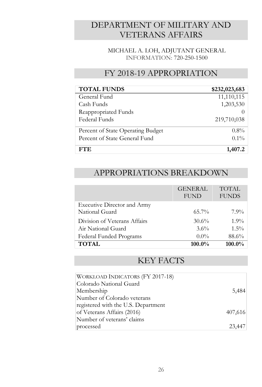### DEPARTMENT OF MILITARY AND VETERANS AFFAIRS

MICHAEL A. LOH, ADJUTANT GENERAL INFORMATION: 720-250-1500

#### FY 2018-19 APPROPRIATION

| <b>TOTAL FUNDS</b>                | \$232,023,683 |
|-----------------------------------|---------------|
| General Fund                      | 11,110,115    |
| Cash Funds                        | 1,203,530     |
| Reappropriated Funds              |               |
| Federal Funds                     | 219,710,038   |
| Percent of State Operating Budget | $0.8\%$       |
| Percent of State General Fund     | $0.1\%$       |
| FTE.                              | 1,407.2       |

#### APPROPRIATIONS BREAKDOWN

|                                               | <b>GENERAL</b><br><b>FUND</b> | <b>TOTAL</b><br><b>FUNDS</b> |
|-----------------------------------------------|-------------------------------|------------------------------|
| Executive Director and Army<br>National Guard | $65.7\%$                      | $7.9\%$                      |
| Division of Veterans Affairs                  | $30.6\%$                      | $1.9\%$                      |
| Air National Guard                            | 3.6%                          | $1.5\%$                      |
| Federal Funded Programs                       | $0.0\%$                       | 88.6%                        |
| <b>TOTAL</b>                                  | 100.0%                        | 100.0%                       |

| WORKLOAD INDICATORS (FY 2017-18)    |         |
|-------------------------------------|---------|
| Colorado National Guard             |         |
| Membership                          | 5,484   |
| Number of Colorado veterans         |         |
| registered with the U.S. Department |         |
| of Veterans Affairs (2016)          | 407,616 |
| Number of veterans' claims          |         |
| processed                           | 23,447  |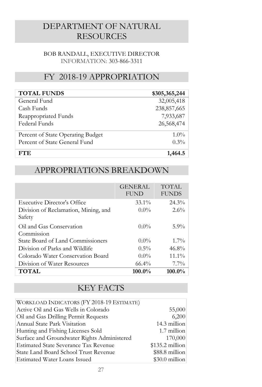#### DEPARTMENT OF NATURAL RESOURCES

#### BOB RANDALL, EXECUTIVE DIRECTOR INFORMATION: 303-866-3311

#### FY 2018-19 APPROPRIATION

| <b>TOTAL FUNDS</b>                | \$305,365,244 |
|-----------------------------------|---------------|
| General Fund                      | 32,005,418    |
| Cash Funds                        | 238,857,665   |
| Reappropriated Funds              | 7,933,687     |
| Federal Funds                     | 26,568,474    |
| Percent of State Operating Budget | $1.0\%$       |
| Percent of State General Fund     | $0.3\%$       |
| FTE.                              | 1,464.5       |

#### APPROPRIATIONS BREAKDOWN

|                                      | <b>GENERAL</b><br><b>FUND</b> | TOTAL<br><b>FUNDS</b> |
|--------------------------------------|-------------------------------|-----------------------|
| Executive Director's Office          | $33.1\%$                      | $24.3\%$              |
| Division of Reclamation, Mining, and | $0.0\%$                       | $2.6\%$               |
| Safety                               |                               |                       |
| Oil and Gas Conservation             | $0.0\%$                       | $5.9\%$               |
| Commission                           |                               |                       |
| State Board of Land Commissioners    | $0.0\%$                       | $1.7\%$               |
| Division of Parks and Wildlife       | $0.5\%$                       | $46.8\%$              |
| Colorado Water Conservation Board    | $0.0\%$                       | $11.1\%$              |
| Division of Water Resources          | $66.4\%$                      | $7.7\%$               |
| TOTAL                                | $100.0\%$                     | $100.0\%$             |

| WORKLOAD INDICATORS (FY 2018-19 ESTIMATE)    |                  |
|----------------------------------------------|------------------|
| Active Oil and Gas Wells in Colorado         | 55,000           |
| Oil and Gas Drilling Permit Requests         | 6,200            |
| Annual State Park Visitation                 | 14.3 million     |
| Hunting and Fishing Licenses Sold            | 1.7 million      |
| Surface and Groundwater Rights Administered  | 170,000          |
| <b>Estimated State Severance Tax Revenue</b> | $$135.2$ million |
| State Land Board School Trust Revenue        | \$88.8 million   |
| <b>Estimated Water Loans Issued</b>          | $$30.0$ million  |
|                                              |                  |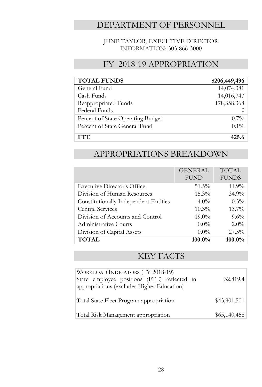#### DEPARTMENT OF PERSONNEL

#### JUNE TAYLOR, EXECUTIVE DIRECTOR INFORMATION: 303-866-3000

#### FY 2018-19 APPROPRIATION

| <b>TOTAL FUNDS</b>                | \$206,449,496 |
|-----------------------------------|---------------|
| General Fund                      | 14,074,381    |
| Cash Funds                        | 14,016,747    |
| Reappropriated Funds              | 178,358,368   |
| Federal Funds                     |               |
| Percent of State Operating Budget | $0.7\%$       |
| Percent of State General Fund     | $0.1\%$       |
| <b>FTE</b>                        | 425.6         |

#### APPROPRIATIONS BREAKDOWN

|                                       | <b>GENERAL</b><br><b>FUND</b> | <b>TOTAL</b><br><b>FUNDS</b> |
|---------------------------------------|-------------------------------|------------------------------|
| <b>Executive Director's Office</b>    | $51.5\%$                      | 11.9%                        |
| Division of Human Resources           | $15.3\%$                      | $34.9\%$                     |
| Constitutionally Independent Entities | $4.0\%$                       | $0.3\%$                      |
| <b>Central Services</b>               | $10.3\%$                      | $13.7\%$                     |
| Division of Accounts and Control      | $19.0\%$                      | $9.6\%$                      |
| Administrative Courts                 | $0.0\%$                       | $2.0\%$                      |
| Division of Capital Assets            | $0.0\%$                       | $27.5\%$                     |
| <b>TOTAL</b>                          | $100.0\%$                     | 100.0%                       |

| WORKLOAD INDICATORS (FY 2018-19)<br>State employee positions (FTE) reflected in<br>appropriations (excludes Higher Education) | 32,819.4     |
|-------------------------------------------------------------------------------------------------------------------------------|--------------|
| Total State Fleet Program appropriation                                                                                       | \$43,901,501 |
| Total Risk Management appropriation                                                                                           | \$65,140,458 |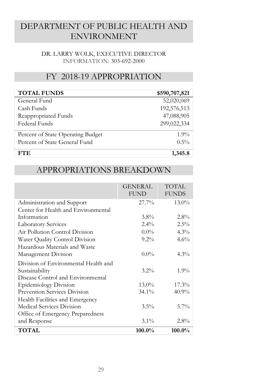#### DEPARTMENT OF PUBLIC HEALTH AND ENVIRONMENT

#### DR. LARRY WOLK, EXECUTIVE DIRECTOR INFORMATION: 303-692-2000

#### FY 2018-19 APPROPRIATION

| <b>TOTAL FUNDS</b>                | \$590,707,821 |
|-----------------------------------|---------------|
| General Fund                      | 52,020,069    |
| Cash Funds                        | 192,576,513   |
| Reappropriated Funds              | 47,088,905    |
| Federal Funds                     | 299,022,334   |
| Percent of State Operating Budget | $1.9\%$       |
| Percent of State General Fund     | $0.5\%$       |
| <b>FTE</b>                        | 1,345.8       |

#### APPROPRIATIONS BREAKDOWN

|                                      | <b>GENERAL</b><br><b>FUND</b> | TOTAL<br><b>FUNDS</b> |
|--------------------------------------|-------------------------------|-----------------------|
| Administration and Support           | 27.7%                         | $13.0\%$              |
| Center for Health and Environmental  |                               |                       |
| Information                          | $3.8\%$                       | $2.8\%$               |
| <b>Laboratory Services</b>           | $2.4\%$                       | $2.5\%$               |
| Air Pollution Control Division       | $0.0\%$                       | 4.3%                  |
| Water Quality Control Division       | $9.2\%$                       | 4.6%                  |
| Hazardous Materials and Waste        |                               |                       |
| Management Division                  | $0.0\%$                       | $4.3\%$               |
| Division of Environmental Health and |                               |                       |
| Sustainability                       | $3.2\%$                       | $1.9\%$               |
| Disease Control and Environmental    |                               |                       |
| <b>Epidemiology Division</b>         | $13.0\%$                      | 17.3%                 |
| <b>Prevention Services Division</b>  | $34.1\%$                      | $40.9\%$              |
| Health Facilities and Emergency      |                               |                       |
| Medical Services Division            | $3.5\%$                       | $5.7\%$               |
| Office of Emergency Preparedness     |                               |                       |
| and Response                         | $3.1\%$                       | $2.8\%$               |
| TOTAL                                | $100.0\%$                     | $100.0\%$             |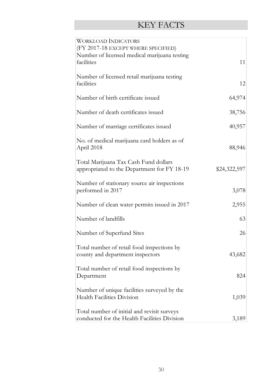| <b>WORKLOAD INDICATORS</b><br>(FY 2017-18 EXCEPT WHERE SPECIFIED)                           |              |
|---------------------------------------------------------------------------------------------|--------------|
| Number of licensed medical marijuana testing<br>facilities                                  | 11           |
| Number of licensed retail marijuana testing<br>facilities                                   | 12           |
| Number of birth certificate issued                                                          | 64,974       |
| Number of death certificates issued                                                         | 38,756       |
| Number of marriage certificates issued                                                      | 40,957       |
| No. of medical marijuana card holders as of<br>April 2018                                   | 88,946       |
| Total Marijuana Tax Cash Fund dollars<br>appropriated to the Department for FY 18-19        | \$24,322,597 |
| Number of stationary source air inspections<br>performed in 2017                            | 3,078        |
| Number of clean water permits issued in 2017                                                | 2,955        |
| Number of landfills                                                                         | 63           |
| Number of Superfund Sites                                                                   | 26           |
| Total number of retail food inspections by<br>county and department inspectors              | 43,682       |
| Total number of retail food inspections by<br>Department                                    | 824          |
| Number of unique facilities surveyed by the<br><b>Health Facilities Division</b>            | 1,039        |
| Total number of initial and revisit surveys<br>conducted for the Health Facilities Division | 3,189        |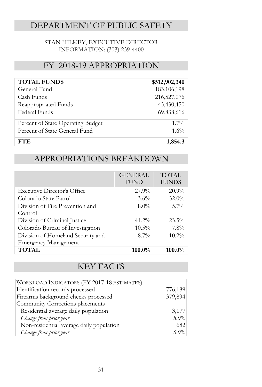### DEPARTMENT OF PUBLIC SAFETY

#### STAN HILKEY, EXECUTIVE DIRECTOR INFORMATION: (303) 239-4400

#### FY 2018-19 APPROPRIATION

| <b>TOTAL FUNDS</b>                | \$512,902,340 |
|-----------------------------------|---------------|
| General Fund                      | 183,106,198   |
| Cash Funds                        | 216,527,076   |
| Reappropriated Funds              | 43,430,450    |
| Federal Funds                     | 69,838,616    |
| Percent of State Operating Budget | $1.7\%$       |
| Percent of State General Fund     | $1.6\%$       |
| FTE.                              | 1,854.3       |

#### APPROPRIATIONS BREAKDOWN

|                                   | <b>GENERAL</b><br><b>FUND</b> | <b>TOTAL</b><br><b>FUNDS</b> |
|-----------------------------------|-------------------------------|------------------------------|
| Executive Director's Office       | 27.9%                         | 20.9%                        |
| Colorado State Patrol             | $3.6\%$                       | $32.0\%$                     |
| Division of Fire Prevention and   | $8.0\%$                       | $5.7\%$                      |
| Control                           |                               |                              |
| Division of Criminal Justice      | $41.2\%$                      | $23.5\%$                     |
| Colorado Bureau of Investigation  | $10.5\%$                      | $7.8\%$                      |
| Division of Homeland Security and | $8.7\%$                       | $10.2\%$                     |
| <b>Emergency Management</b>       |                               |                              |
| <b>TOTAL</b>                      | $100.0\%$                     | $100.0\%$                    |

| WORKLOAD INDICATORS (FY 2017-18 ESTIMATES) |         |
|--------------------------------------------|---------|
| Identification records processed           | 776,189 |
| Firearms background checks processed       | 379,894 |
| Community Corrections placements           |         |
| Residential average daily population       | 3,177   |
| Change from prior year                     | $8.0\%$ |
| Non-residential average daily population   | 682     |
| Change from prior year                     | $6.0\%$ |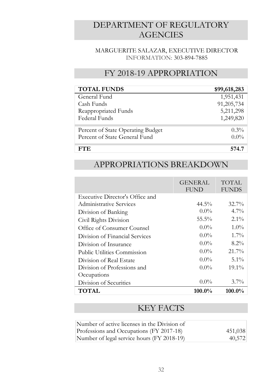### DEPARTMENT OF REGULATORY **AGENCIES**

#### MARGUERITE SALAZAR, EXECUTIVE DIRECTOR INFORMATION: 303-894-7885

#### FY 2018-19 APPROPRIATION

| <b>TOTAL FUNDS</b>                | \$99,618,283 |
|-----------------------------------|--------------|
| General Fund                      | 1,951,431    |
| Cash Funds                        | 91,205,734   |
| Reappropriated Funds              | 5,211,298    |
| Federal Funds                     | 1,249,820    |
| Percent of State Operating Budget | $0.3\%$      |
| Percent of State General Fund     | $0.0\%$      |
| FTF                               | 574.7        |

#### APPROPRIATIONS BREAKDOWN

|                                    | <b>GENERAL</b><br><b>FUND</b> | TOTAL<br><b>FUNDS</b> |
|------------------------------------|-------------------------------|-----------------------|
| Executive Director's Office and    |                               |                       |
| Administrative Services            | $44.5\%$                      | $32.7\%$              |
| Division of Banking                | $0.0\%$                       | $4.7\%$               |
| Civil Rights Division              | 55.5%                         | $2.1\%$               |
| Office of Consumer Counsel         | $0.0\%$                       | $1.0\%$               |
| Division of Financial Services     | $0.0\%$                       | $1.7\%$               |
| Division of Insurance              | $0.0\%$                       | $8.2\%$               |
| <b>Public Utilities Commission</b> | $0.0\%$                       | 21.7%                 |
| Division of Real Estate            | $0.0\%$                       | $5.1\%$               |
| Division of Professions and        | $0.0\%$                       | $19.1\%$              |
| Occupations                        |                               |                       |
| Division of Securities             | $0.0\%$                       | $3.7\%$               |
| TOTAL                              | $100.0\%$                     | $100.0\%$             |

| Number of active licenses in the Division of |         |
|----------------------------------------------|---------|
| Professions and Occupations (FY 2017-18)     | 451,038 |
| Number of legal service hours (FY 2018-19)   | 40,572  |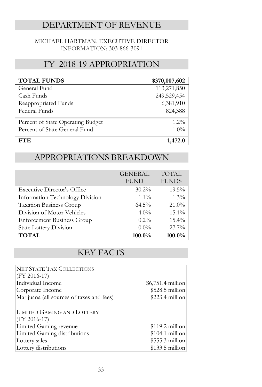#### DEPARTMENT OF REVENUE

#### MICHAEL HARTMAN, EXECUTIVE DIRECTOR INFORMATION: 303-866-3091

#### FY 2018-19 APPROPRIATION

| <b>TOTAL FUNDS</b>                | \$370,007,602 |
|-----------------------------------|---------------|
| General Fund                      | 113,271,850   |
| Cash Funds                        | 249,529,454   |
| Reappropriated Funds              | 6,381,910     |
| Federal Funds                     | 824,388       |
| Percent of State Operating Budget | $1.2\%$       |
| Percent of State General Fund     | $1.0\%$       |
| FTE.                              | 1,472.0       |

#### APPROPRIATIONS BREAKDOWN

|                                    | <b>GENERAL</b><br><b>FUND</b> | <b>TOTAL</b><br><b>FUNDS</b> |
|------------------------------------|-------------------------------|------------------------------|
| <b>Executive Director's Office</b> | $30.2\%$                      | $19.5\%$                     |
| Information Technology Division    | $1.1\%$                       | $1.3\%$                      |
| Taxation Business Group            | $64.5\%$                      | 21.0%                        |
| Division of Motor Vehicles         | $4.0\%$                       | $15.1\%$                     |
| <b>Enforcement Business Group</b>  | $0.2\%$                       | $15.4\%$                     |
| <b>State Lottery Division</b>      | $0.0\%$                       | 27.7%                        |
| <b>TOTAL</b>                       | 100.0%                        | 100.0%                       |

| <b>NET STATE TAX COLLECTIONS</b>          |                    |
|-------------------------------------------|--------------------|
| $(FY 2016-17)$                            |                    |
| Individual Income                         | $$6,751.4$ million |
| Corporate Income                          | $$528.5$ million   |
| Marijuana (all sources of taxes and fees) | $$223.4$ million   |
| LIMITED GAMING AND LOTTERY                |                    |
| $(FY 2016-17)$                            |                    |
| Limited Gaming revenue                    | $$119.2$ million   |
| Limited Gaming distributions              | $$104.1$ million   |
| Lottery sales                             | $$555.3$ million   |
| Lottery distributions                     | $$133.5$ million   |
|                                           |                    |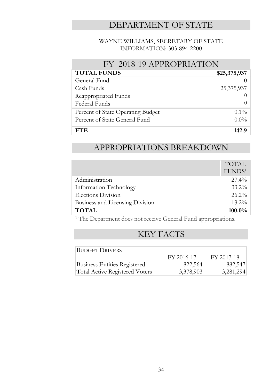### DEPARTMENT OF STATE

#### WAYNE WILLIAMS, SECRETARY OF STATE INFORMATION: 303-894-2200

| FY 2018-19 APPROPRIATION                   |                  |  |
|--------------------------------------------|------------------|--|
| <b>TOTAL FUNDS</b>                         | \$25,375,937     |  |
| General Fund                               |                  |  |
| Cash Funds                                 | 25,375,937       |  |
| Reappropriated Funds                       |                  |  |
| Federal Funds                              | $\left( \right)$ |  |
| Percent of State Operating Budget          | $0.1\%$          |  |
| Percent of State General Fund <sup>1</sup> | $0.0\%$          |  |
| FT F.                                      | 142.9            |  |

#### APPROPRIATIONS BREAKDOWN

|                                 | <b>TOTAL</b>       |
|---------------------------------|--------------------|
|                                 | FUNDS <sup>1</sup> |
| Administration                  | $27.4\%$           |
| Information Technology          | $33.2\%$           |
| Elections Division              | $26.2\%$           |
| Business and Licensing Division | $13.2\%$           |
| <b>TOTAL</b>                    | $100.0\%$          |

<sup>1</sup> The Department does not receive General Fund appropriations.

| <b>BUDGET DRIVERS</b>                 |            |            |
|---------------------------------------|------------|------------|
|                                       | FY 2016-17 | FY 2017-18 |
| <b>Business Entities Registered</b>   | 822,564    | 882,547    |
| <b>Total Active Registered Voters</b> | 3,378,903  | 3,281,294  |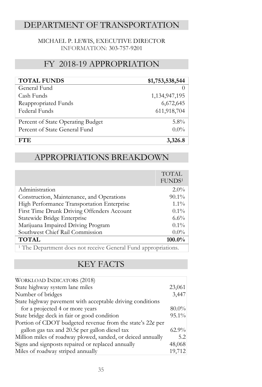#### DEPARTMENT OF TRANSPORTATION

#### MICHAEL P. LEWIS, EXECUTIVE DIRECTOR INFORMATION: 303-757-9201

#### FY 2018-19 APPROPRIATION

| <b>TOTAL FUNDS</b>                | \$1,753,538,544 |
|-----------------------------------|-----------------|
| General Fund                      |                 |
| Cash Funds                        | 1,134,947,195   |
| Reappropriated Funds              | 6,672,645       |
| Federal Funds                     | 611,918,704     |
| Percent of State Operating Budget | $5.8\%$         |
| Percent of State General Fund     | $0.0\%$         |
| FT F.                             | 3,326.          |

#### APPROPRIATIONS BREAKDOWN

|                                            | <b>TOTAL</b><br>FUNDS <sup>1</sup> |
|--------------------------------------------|------------------------------------|
| Administration                             | $2.0\%$                            |
| Construction, Maintenance, and Operations  | $90.1\%$                           |
| High Performance Transportation Enterprise | $1.1\%$                            |
| First Time Drunk Driving Offenders Account | $0.1\%$                            |
| Statewide Bridge Enterprise                | $6.6\%$                            |
| Marijuana Impaired Driving Program         | $0.1\%$                            |
| Southwest Chief Rail Commission            | $0.0\%$                            |
| <b>TOTAL</b>                               | 100.0%                             |
|                                            |                                    |

<sup>1</sup> The Department does not receive General Fund appropriations.

| <b>WORKLOAD INDICATORS (2018)</b>                           |        |
|-------------------------------------------------------------|--------|
| State highway system lane miles                             | 23,061 |
| Number of bridges                                           | 3,447  |
| State highway pavement with acceptable driving conditions   |        |
| for a projected 4 or more years                             | 80.0%  |
| State bridge deck in fair or good condition                 | 95.1%  |
| Portion of CDOT budgeted revenue from the state's $22¢$ per |        |
| gallon gas tax and $20.5\phi$ per gallon diesel tax         | 62.9%  |
| Million miles of roadway plowed, sanded, or deiced annually | 5.2    |
| Signs and signposts repaired or replaced annually           | 48,068 |
| Miles of roadway striped annually                           | 19,712 |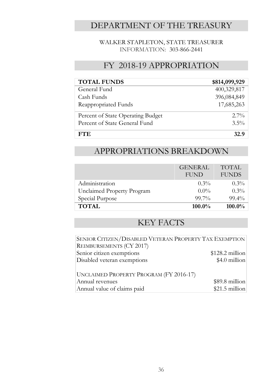### DEPARTMENT OF THE TREASURY

#### WALKER STAPLETON, STATE TREASURER INFORMATION: 303-866-2441

#### FY 2018-19 APPROPRIATION

| <b>TOTAL FUNDS</b>                | \$814,099,929 |
|-----------------------------------|---------------|
| General Fund                      | 400,329,817   |
| Cash Funds                        | 396,084,849   |
| Reappropriated Funds              | 17,685,263    |
| Percent of State Operating Budget | $2.7\%$       |
| Percent of State General Fund     | $3.5\%$       |
| FTE.                              | 32.9          |

#### APPROPRIATIONS BREAKDOWN

|                            | <b>GENERAL</b><br><b>FUND</b> | <b>TOTAL</b><br><b>FUNDS</b> |
|----------------------------|-------------------------------|------------------------------|
|                            |                               |                              |
| Administration             | $0.3\%$                       | $0.3\%$                      |
| Unclaimed Property Program | $0.0\%$                       | $0.3\%$                      |
| Special Purpose            | $99.7\%$                      | $99.4\%$                     |
| <b>TOTAL</b>               | $100.0\%$                     | 100.0%                       |

| SENIOR CITIZEN/DISABLED VETERAN PROPERTY TAX EXEMPTION |                  |
|--------------------------------------------------------|------------------|
| REIMBURSEMENTS (CY 2017)                               |                  |
| Senior citizen exemptions                              | $$128.2$ million |
| Disabled veteran exemptions                            | \$4.0 million    |
|                                                        |                  |
| UNCLAIMED PROPERTY PROGRAM (FY 2016-17)                |                  |
| Annual revenues                                        | $$89.8$ million  |
| Annual value of claims paid                            | $$21.5$ million  |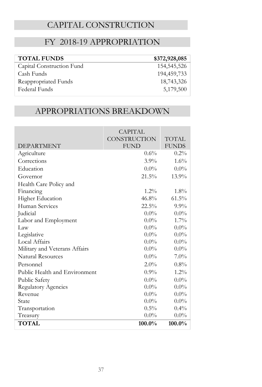### CAPITAL CONSTRUCTION

#### FY 2018-19 APPROPRIATION

| <b>TOTAL FUNDS</b>        | \$372,928,085 |
|---------------------------|---------------|
| Capital Construction Fund | 154,545,526   |
| Cash Funds                | 194,459,733   |
| Reappropriated Funds      | 18,743,326    |
| Federal Funds             | 5,179,500     |

### APPROPRIATIONS BREAKDOWN

|                               | CAPITAL      |              |
|-------------------------------|--------------|--------------|
|                               | CONSTRUCTION | TOTAL        |
| <b>DEPARTMENT</b>             | <b>FUND</b>  | <b>FUNDS</b> |
| Agriculture                   | $0.6\%$      | $0.2\%$      |
| Corrections                   | $3.9\%$      | 1.6%         |
| Education                     | $0.0\%$      | $0.0\%$      |
| Governor                      | 21.5%        | 13.9%        |
| Health Care Policy and        |              |              |
| Financing                     | $1.2\%$      | $1.8\%$      |
| <b>Higher Education</b>       | 46.8%        | $61.5\%$     |
| Human Services                | $22.5\%$     | $9.9\%$      |
| Judicial                      | $0.0\%$      | $0.0\%$      |
| Labor and Employment          | $0.0\%$      | $1.7\%$      |
| Law                           | $0.0\%$      | $0.0\%$      |
| Legislative                   | $0.0\%$      | $0.0\%$      |
| Local Affairs                 | $0.0\%$      | $0.0\%$      |
| Military and Veterans Affairs | $0.0\%$      | $0.0\%$      |
| <b>Natural Resources</b>      | $0.0\%$      | $7.0\%$      |
| Personnel                     | $2.0\%$      | $0.8\%$      |
| Public Health and Environment | $0.9\%$      | $1.2\%$      |
| Public Safety                 | $0.0\%$      | $0.0\%$      |
| <b>Regulatory Agencies</b>    | $0.0\%$      | $0.0\%$      |
| Revenue                       | $0.0\%$      | $0.0\%$      |
| State                         | $0.0\%$      | $0.0\%$      |
| Transportation                | $0.5\%$      | $0.4\%$      |
| Treasury                      | $0.0\%$      | $0.0\%$      |
| <b>TOTAL</b>                  | $100.0\%$    | $100.0\%$    |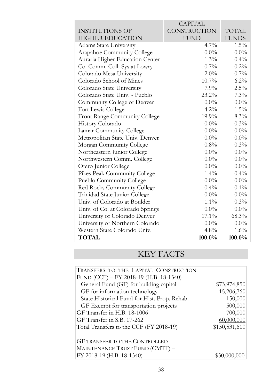|                                  | CAPITAL             |              |
|----------------------------------|---------------------|--------------|
| <b>INSTITUTIONS OF</b>           | <b>CONSTRUCTION</b> | <b>TOTAL</b> |
| <b>HIGHER EDUCATION</b>          | <b>FUND</b>         | <b>FUNDS</b> |
| <b>Adams State University</b>    | $4.7\%$             | $1.5\%$      |
| Arapahoe Community College       | $0.0\%$             | $0.0\%$      |
| Auraria Higher Education Center  | $1.3\%$             | $0.4\%$      |
| Co. Comm. Coll. Sys at Lowry     | $0.7\%$             | $0.2\%$      |
| Colorado Mesa University         | $2.0\%$             | $0.7\%$      |
| Colorado School of Mines         | $10.7\%$            | $6.2\%$      |
| Colorado State University        | 7.9%                | $2.5\%$      |
| Colorado State Univ. - Pueblo    | $23.2\%$            | $7.3\%$      |
| Community College of Denver      | $0.0\%$             | $0.0\%$      |
| Fort Lewis College               | $4.2\%$             | $1.5\%$      |
| Front Range Community College    | 19.9%               | $8.3\%$      |
| History Colorado                 | $0.0\%$             | $0.3\%$      |
| Lamar Community College          | $0.0\%$             | $0.0\%$      |
| Metropolitan State Univ. Denver  | $0.0\%$             | $0.0\%$      |
| Morgan Community College         | $0.8\%$             | $0.3\%$      |
| Northeastern Junior College      | $0.0\%$             | $0.0\%$      |
| Northwestern Comm. College       | $0.0\%$             | $0.0\%$      |
| Otero Junior College             | $0.0\%$             | $0.0\%$      |
| Pikes Peak Community College     | $1.4\%$             | $0.4\%$      |
| Pueblo Community College         | $0.0\%$             | $0.0\%$      |
| Red Rocks Community College      | $0.4\%$             | $0.1\%$      |
| Trinidad State Junior College    | $0.0\%$             | $0.0\%$      |
| Univ. of Colorado at Boulder     | $1.1\%$             | $0.3\%$      |
| Univ. of Co. at Colorado Springs | $0.0\%$             | $0.0\%$      |
| University of Colorado Denver    | $17.1\%$            | 68.3%        |
| University of Northern Colorado  | $0.0\%$             | $0.0\%$      |
| Western State Colorado Univ.     | $4.8\%$             | $1.6\%$      |
| <b>TOTAL</b>                     | 100.0%              | 100.0%       |

| TRANSFERS TO THE CAPITAL CONSTRUCTION        |               |
|----------------------------------------------|---------------|
| FUND (CCF) - FY 2018-19 (H.B. 18-1340)       |               |
| General Fund (GF) for building capital       | \$73,974,850  |
| GF for information technology                | 15,206,760    |
| State Historical Fund for Hist. Prop. Rehab. | 150,000       |
| GF Exempt for transportation projects        | 500,000       |
| GF Transfer in H.B. 18-1006                  | 700,000       |
| GF Transfer in S.B. 17-262                   | 60,000,000    |
| Total Transfers to the CCF (FY 2018-19)      | \$150,531,610 |
| <b>GF TRANSFER TO THE CONTROLLED</b>         |               |
| MAINTENANCE TRUST FUND (CMTF) -              |               |
| FY 2018-19 (H.B. 18-1340)                    | \$30,000,000  |